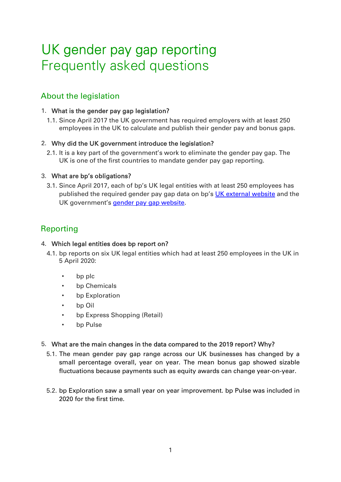# UK gender pay gap reporting Frequently asked questions

# About the legislation

#### 1. What is the gender pay gap legislation?

1.1. Since April 2017 the UK government has required employers with at least 250 employees in the UK to calculate and publish their gender pay and bonus gaps.

#### 2. Why did the UK government introduce the legislation?

2.1. It is a key part of the government's work to eliminate the gender pay gap. The UK is one of the first countries to mandate gender pay gap reporting.

#### 3. What are bp's obligations?

3.1. Since April 2017, each of bp's UK legal entities with at least 250 employees has published the required gender pay gap data o[n bp's UK external website](https://www.bp.com/en_gb/united-kingdom.html) and the UK govern[ment's gender pay gap website.](https://gender-pay-gap.service.gov.uk/Viewing/search-results)

# Reporting

#### 4. Which legal entities does bp report on?

- 4.1. bp reports on six UK legal entities which had at least 250 employees in the UK in 5 April 2020:
	- bp plc
	- bp Chemicals
	- bp Exploration
	- bp Oil
	- bp Express Shopping (Retail)
	- bp Pulse

## 5. What are the main changes in the data compared to the 2019 report? Why?

- 5.1. The mean gender pay gap range across our UK businesses has changed by a small percentage overall, year on year. The mean bonus gap showed sizable fluctuations because payments such as equity awards can change year-on-year.
- 5.2. bp Exploration saw a small year on year improvement. bp Pulse was included in 2020 for the first time.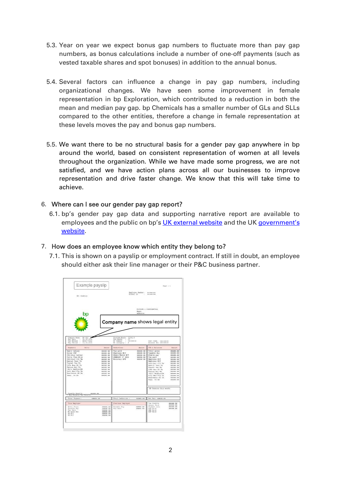- 5.3. Year on year we expect bonus gap numbers to fluctuate more than pay gap numbers, as bonus calculations include a number of one-off payments (such as vested taxable shares and spot bonuses) in addition to the annual bonus.
- 5.4. Several factors can influence a change in pay gap numbers, including organizational changes. We have seen some improvement in female representation in bp Exploration, which contributed to a reduction in both the mean and median pay gap. bp Chemicals has a smaller number of GLs and SLLs compared to the other entities, therefore a change in female representation at these levels moves the pay and bonus gap numbers.
- 5.5. We want there to be no structural basis for a gender pay gap anywhere in bp around the world, based on consistent representation of women at all levels throughout the organization. While we have made some progress, we are not satisfied, and we have action plans across all our businesses to improve representation and drive faster change. We know that this will take time to achieve.

#### 6. Where can I see our gender pay gap report?

6.1. bp's gender pay gap data and supporting narrative report are available to [employees and the public on bp's UK external website and the UK govern](https://gender-pay-gap.service.gov.uk/Viewing/search-results)ment's [website.](https://gender-pay-gap.service.gov.uk/Viewing/search-results) 

#### 7. How does an employee know which entity they belong to?

7.1. This is shown on a payslip or employment contract. If still in doubt, an employee should either ask their line manager or their P&C business partner.

| Example payslip                                                                                                                                                                                                                  |                                                                                                                                                                                                                            |                                                                                                                                         |                                                                             |                                                                                                                                                                                                                                                       | PAge + 1.                                                                                                                                                                                                                                                                       |  |
|----------------------------------------------------------------------------------------------------------------------------------------------------------------------------------------------------------------------------------|----------------------------------------------------------------------------------------------------------------------------------------------------------------------------------------------------------------------------|-----------------------------------------------------------------------------------------------------------------------------------------|-----------------------------------------------------------------------------|-------------------------------------------------------------------------------------------------------------------------------------------------------------------------------------------------------------------------------------------------------|---------------------------------------------------------------------------------------------------------------------------------------------------------------------------------------------------------------------------------------------------------------------------------|--|
| ID - Fanbury                                                                                                                                                                                                                     |                                                                                                                                                                                                                            |                                                                                                                                         | Haplyyee Husbery<br>Global ID<br>$\cdots$                                   | $+ + + + + + + +$<br>$-000000000$                                                                                                                                                                                                                     |                                                                                                                                                                                                                                                                                 |  |
|                                                                                                                                                                                                                                  |                                                                                                                                                                                                                            | <b>ISIVATE &amp; CONFIDENTIAL</b><br>tiams:<br>Address:                                                                                 |                                                                             |                                                                                                                                                                                                                                                       |                                                                                                                                                                                                                                                                                 |  |
| BP FLC<br>Tompotty: Nemna<br>36.10.2016<br>Pay Daze<br>18<br><b>Tay Nethod</b><br><b>RACE Trans</b><br>14                                                                                                                        |                                                                                                                                                                                                                            | <b>Company name</b> shows legal entity<br>FaxCode/Basis 1101L/2<br>Tax Month + 67<br>HI Number<br>$1 - 48888886$<br>Sort Code: assesses |                                                                             |                                                                                                                                                                                                                                                       |                                                                                                                                                                                                                                                                                 |  |
| Pay Period<br>31.10.2016<br><b>Dayments</b><br>Units                                                                                                                                                                             | Asciant                                                                                                                                                                                                                    | HI Category A<br><b>Bedurt Icms</b>                                                                                                     | <b>Januart</b>                                                              | Account No: expresses<br><b>YTD &amp; Balances</b>                                                                                                                                                                                                    | <b>Jaymark</b>                                                                                                                                                                                                                                                                  |  |
| Badic Salary<br>Gross SVP<br>Childcar SalSac<br>Cycle Flex Hire<br>Critical Ill Tx<br>Dental Insc Tx<br>Travel Ing Tx<br>Life Ass SF Tx<br>Person Acc Tx<br>*Friv MedCoreTX<br>Priv Med Flx Tx<br>HealthScr SP 7x<br>Fens. 54 58 | <b>XXXXX XX</b><br><b>JOODGK.</b> JEK<br>XXXXX.XX<br><b>XXXXX.XX</b><br><b>SOUGHER</b><br>XXXXX.XX<br><b>NNNNN</b> XX<br><b>MMXKK WK</b><br>XXXXX, XX<br><b>XXXXXXXX</b><br>MMMMM NW<br><b>MMMMM</b> EE<br><b>XXXXX XX</b> | tax paid<br>Employee NIC<br>Share Match N/T<br>SHARSAY 3* 2016<br>Recovery SVP                                                          | <b>SEEXX.XX</b><br><b>RECENT: XX</b><br>KK. MARK<br>EXECK, XX<br>ROODOC/JOC | Total gross<br>Taxable Pay<br>Wfable pay<br>Tax paid<br>Employee NIC<br>Smpluyer NIC<br>Critical Ill Tz<br>Dental Insc Tx<br>Travel Ins Tx<br>Life Ass 8P TK<br>Person Acc Tx<br>*Priv MedCoreTK<br>Priv Med Plx Tx<br>Healthser SP TK<br>Pens. 54 55 | <b>REEKE, RE</b><br>MARKET NOR<br>MNNNN, NW<br><b>NXXXXX.XX</b><br><b>RECEIVE, JOB</b><br><b>REEKK, ER</b><br><b>XXXXX XX</b><br>RXXXX ER<br>RECEE, EX<br><b>KKKKK EX</b><br>XXXXX-XX<br><b>NICKKK, XX</b><br><b>REEKKA</b> . NH<br><b>XXXXX.XX</b><br><b><i>NICKICK WK</i></b> |  |
| <b>MAKKELKK</b>                                                                                                                                                                                                                  |                                                                                                                                                                                                                            |                                                                                                                                         |                                                                             | BE Dennism this month:                                                                                                                                                                                                                                |                                                                                                                                                                                                                                                                                 |  |
|                                                                                                                                                                                                                                  |                                                                                                                                                                                                                            |                                                                                                                                         |                                                                             | Bet Bay: REEKE SR                                                                                                                                                                                                                                     |                                                                                                                                                                                                                                                                                 |  |
| Taxable Benefit<br>Hon-Payable Tax Benefit<br>Total Payments                                                                                                                                                                     | <b>BREEK, XX</b>                                                                                                                                                                                                           | Total Deduction                                                                                                                         | RXXXX RE                                                                    |                                                                                                                                                                                                                                                       |                                                                                                                                                                                                                                                                                 |  |
| This Deployer                                                                                                                                                                                                                    |                                                                                                                                                                                                                            | Previous Seployer                                                                                                                       |                                                                             | Tex Credits<br>Ascunt Paid                                                                                                                                                                                                                            | 22222<br><b>KRRKK-RX</b>                                                                                                                                                                                                                                                        |  |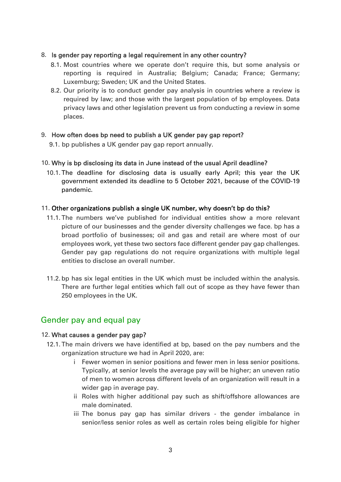#### 8. Is gender pay reporting a legal requirement in any other country?

- 8.1. Most countries where we operate don't require this, but some analysis or reporting is required in Australia; Belgium; Canada; France; Germany; Luxemburg; Sweden; UK and the United States.
- 8.2. Our priority is to conduct gender pay analysis in countries where a review is required by law; and those with the largest population of bp employees. Data privacy laws and other legislation prevent us from conducting a review in some places.

#### 9. How often does bp need to publish a UK gender pay gap report?

9.1. bp publishes a UK gender pay gap report annually.

#### 10. Why is bp disclosing its data in June instead of the usual April deadline?

10.1. The deadline for disclosing data is usually early April; this year the UK government extended its deadline to 5 October 2021, because of the COVID-19 pandemic.

#### 11. Other organizations publish a single UK number, why doesn't bp do this?

- 11.1. The numbers we've published for individual entities show a more relevant picture of our businesses and the gender diversity challenges we face. bp has a broad portfolio of businesses; oil and gas and retail are where most of our employees work, yet these two sectors face different gender pay gap challenges. Gender pay gap regulations do not require organizations with multiple legal entities to disclose an overall number.
- 11.2. bp has six legal entities in the UK which must be included within the analysis. There are further legal entities which fall out of scope as they have fewer than 250 employees in the UK.

# Gender pay and equal pay

#### 12. What causes a gender pay gap?

- 12.1. The main drivers we have identified at bp, based on the pay numbers and the organization structure we had in April 2020, are:
	- i Fewer women in senior positions and fewer men in less senior positions. Typically, at senior levels the average pay will be higher; an uneven ratio of men to women across different levels of an organization will result in a wider gap in average pay.
	- ii Roles with higher additional pay such as shift/offshore allowances are male dominated.
	- iii The bonus pay gap has similar drivers the gender imbalance in senior/less senior roles as well as certain roles being eligible for higher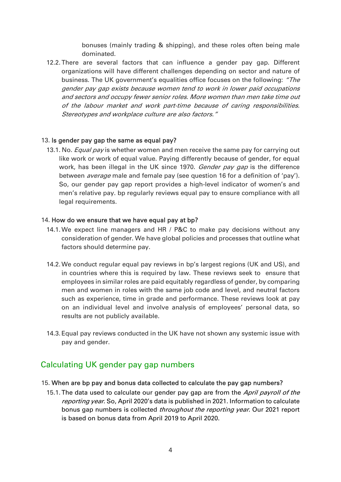bonuses (mainly trading & shipping), and these roles often being male dominated.

12.2. There are several factors that can influence a gender pay gap. Different organizations will have different challenges depending on sector and nature of business. The UK government's equalities office focuses on the following: "The gender pay gap exists because women tend to work in lower paid occupations and sectors and occupy fewer senior roles. More women than men take time out of the labour market and work part-time because of caring responsibilities. Stereotypes and workplace culture are also factors."

#### 13. Is gender pay gap the same as equal pay?

13.1. No. *Equal pay* is whether women and men receive the same pay for carrying out like work or work of equal value. Paying differently because of gender, for equal work, has been illegal in the UK since 1970. *Gender pay gap* is the difference between *average* male and female pay (see question 16 for a definition of 'pay'). So, our gender pay gap report provides a high-level indicator of women's and men's relative pay. bp regularly reviews equal pay to ensure compliance with all legal requirements.

#### 14. How do we ensure that we have equal pay at bp?

- 14.1.We expect line managers and HR / P&C to make pay decisions without any consideration of gender. We have global policies and processes that outline what factors should determine pay.
- 14.2.We conduct regular equal pay reviews in bp's largest regions (UK and US), and in countries where this is required by law. These reviews seek to ensure that employees in similar roles are paid equitably regardless of gender, by comparing men and women in roles with the same job code and level, and neutral factors such as experience, time in grade and performance. These reviews look at pay on an individual level and involve analysis of employees' personal data, so results are not publicly available.
- 14.3. Equal pay reviews conducted in the UK have not shown any systemic issue with pay and gender.

# Calculating UK gender pay gap numbers

#### 15. When are bp pay and bonus data collected to calculate the pay gap numbers?

15.1. The data used to calculate our gender pay gap are from the April payroll of the reporting year. So, April 2020's data is published in 2021. Information to calculate bonus gap numbers is collected throughout the reporting year. Our 2021 report is based on bonus data from April 2019 to April 2020.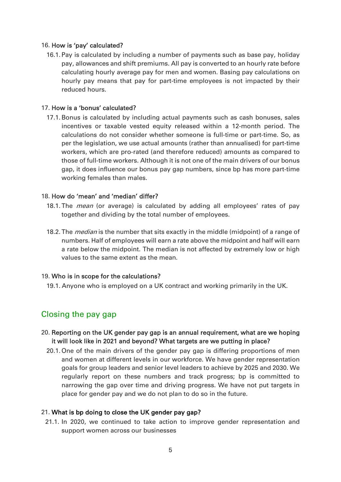#### 16. How is 'pay' calculated?

16.1. Pay is calculated by including a number of payments such as base pay, holiday pay, allowances and shift premiums. All pay is converted to an hourly rate before calculating hourly average pay for men and women. Basing pay calculations on hourly pay means that pay for part-time employees is not impacted by their reduced hours.

#### 17. How is a 'bonus' calculated?

17.1.Bonus is calculated by including actual payments such as cash bonuses, sales incentives or taxable vested equity released within a 12-month period. The calculations do not consider whether someone is full-time or part-time. So, as per the legislation, we use actual amounts (rather than annualised) for part-time workers, which are pro-rated (and therefore reduced) amounts as compared to those of full-time workers. Although it is not one of the main drivers of our bonus gap, it does influence our bonus pay gap numbers, since bp has more part-time working females than males.

#### 18. How do 'mean' and 'median' differ?

- 18.1. The *mean* (or average) is calculated by adding all employees' rates of pay together and dividing by the total number of employees.
- 18.2. The *median* is the number that sits exactly in the middle (midpoint) of a range of numbers. Half of employees will earn a rate above the midpoint and half will earn a rate below the midpoint. The median is not affected by extremely low or high values to the same extent as the mean.

#### 19. Who is in scope for the calculations?

19.1. Anyone who is employed on a UK contract and working primarily in the UK.

# Closing the pay gap

- 20. Reporting on the UK gender pay gap is an annual requirement, what are we hoping it will look like in 2021 and beyond? What targets are we putting in place?
	- 20.1. One of the main drivers of the gender pay gap is differing proportions of men and women at different levels in our workforce. We have gender representation goals for group leaders and senior level leaders to achieve by 2025 and 2030. We regularly report on these numbers and track progress; bp is committed to narrowing the gap over time and driving progress. We have not put targets in place for gender pay and we do not plan to do so in the future.

#### 21. What is bp doing to close the UK gender pay gap?

21.1. In 2020, we continued to take action to improve gender representation and support women across our businesses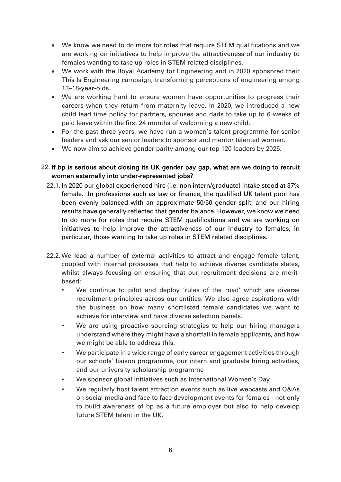- We know we need to do more for roles that require STEM qualifications and we are working on initiatives to help improve the attractiveness of our industry to females wanting to take up roles in STEM related disciplines.
- We work with the Royal Academy for Engineering and in 2020 sponsored their This Is Engineering campaign, transforming perceptions of engineering among 13–18-year-olds.
- We are working hard to ensure women have opportunities to progress their careers when they return from maternity leave. In 2020, we introduced a new child lead time policy for partners, spouses and dads to take up to 6 weeks of paid leave within the first 24 months of welcoming a new child.
- For the past three years, we have run a women's talent programme for senior leaders and ask our senior leaders to sponsor and mentor talented women.
- We now aim to achieve gender parity among our top 120 leaders by 2025.

#### 22. If bp is serious about closing its UK gender pay gap, what are we doing to recruit women externally into under-represented jobs?

- 22.1. In 2020 our global experienced hire (i.e. non intern/graduate) intake stood at 37% female. In professions such as law or finance, the qualified UK talent pool has been evenly balanced with an approximate 50/50 gender split, and our hiring results have generally reflected that gender balance. However, we know we need to do more for roles that require STEM qualifications and we are working on initiatives to help improve the attractiveness of our industry to females, in particular, those wanting to take up roles in STEM related disciplines.
- 22.2.We lead a number of external activities to attract and engage female talent, coupled with internal processes that help to achieve diverse candidate slates, whilst always focusing on ensuring that our recruitment decisions are meritbased:
	- We continue to pilot and deploy 'rules of the road' which are diverse recruitment principles across our entities. We also agree aspirations with the business on how many shortlisted female candidates we want to achieve for interview and have diverse selection panels.
	- We are using proactive sourcing strategies to help our hiring managers understand where they might have a shortfall in female applicants, and how we might be able to address this.
	- We participate in a wide range of early career engagement activities through our schools' liaison programme, our intern and graduate hiring activities, and our university scholarship programme
	- We sponsor global initiatives such as International Women's Day
	- We regularly host talent attraction events such as live webcasts and Q&As on social media and face to face development events for females - not only to build awareness of bp as a future employer but also to help develop future STEM talent in the UK.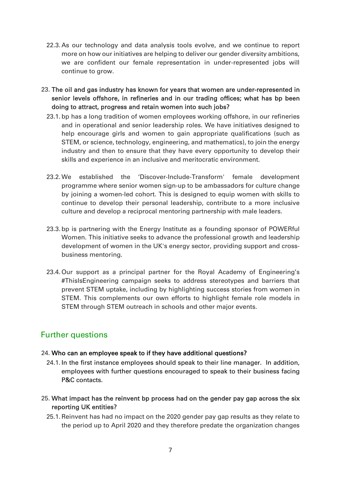- 22.3. As our technology and data analysis tools evolve, and we continue to report more on how our initiatives are helping to deliver our gender diversity ambitions, we are confident our female representation in under-represented jobs will continue to grow.
- 23. The oil and gas industry has known for years that women are under-represented in senior levels offshore, in refineries and in our trading offices; what has bp been doing to attract, progress and retain women into such jobs?
	- 23.1. bp has a long tradition of women employees working offshore, in our refineries and in operational and senior leadership roles. We have initiatives designed to help encourage girls and women to gain appropriate qualifications (such as STEM, or science, technology, engineering, and mathematics), to join the energy industry and then to ensure that they have every opportunity to develop their skills and experience in an inclusive and meritocratic environment.
	- 23.2.We established the 'Discover-Include-Transform' female development programme where senior women sign-up to be ambassadors for culture change by joining a women-led cohort. This is designed to equip women with skills to continue to develop their personal leadership, contribute to a more inclusive culture and develop a reciprocal mentoring partnership with male leaders.
	- 23.3. bp is partnering with the Energy Institute as a founding sponsor of POWERful Women. This initiative seeks to advance the professional growth and leadership development of women in the UK's energy sector, providing support and crossbusiness mentoring.
	- 23.4. Our support as a principal partner for the Royal Academy of Engineering's #ThisIsEngineering campaign seeks to address stereotypes and barriers that prevent STEM uptake, including by highlighting success stories from women in STEM. This complements our own efforts to highlight female role models in STEM through STEM outreach in schools and other major events.

# Further questions

## 24. Who can an employee speak to if they have additional questions?

- 24.1. In the first instance employees should speak to their line manager. In addition, employees with further questions encouraged to speak to their business facing P&C contacts.
- 25. What impact has the reinvent bp process had on the gender pay gap across the six reporting UK entities?
	- 25.1.Reinvent has had no impact on the 2020 gender pay gap results as they relate to the period up to April 2020 and they therefore predate the organization changes